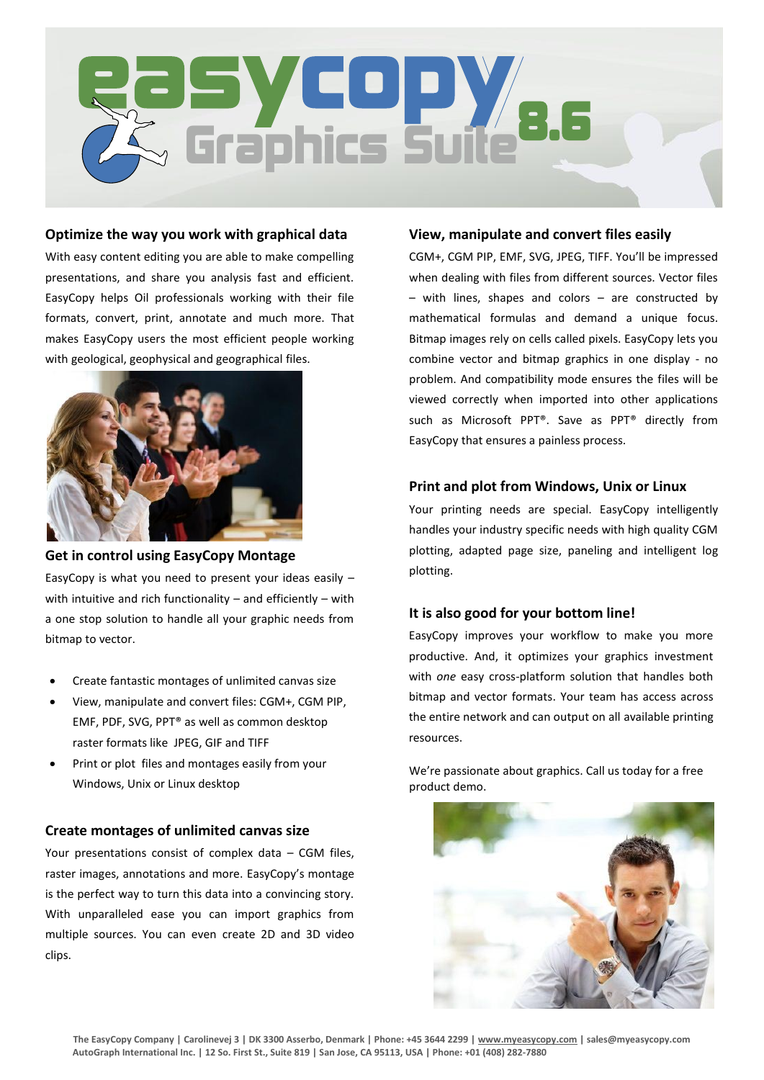

### **Optimize the way you work with graphical data**

With easy content editing you are able to make compelling presentations, and share you analysis fast and efficient. EasyCopy helps Oil professionals working with their file formats, convert, print, annotate and much more. That makes EasyCopy users the most efficient people working with geological, geophysical and geographical files.



#### **Get in control using EasyCopy Montage**

EasyCopy is what you need to present your ideas easily – with intuitive and rich functionality – and efficiently – with a one stop solution to handle all your graphic needs from bitmap to vector.

- Create fantastic montages of unlimited canvas size
- View, manipulate and convert files: CGM+, CGM PIP, EMF, PDF, SVG, PPT® as well as common desktop raster formats like JPEG, GIF and TIFF
- Print or plot files and montages easily from your Windows, Unix or Linux desktop

### **Create montages of unlimited canvas size**

Your presentations consist of complex data – CGM files, raster images, annotations and more. EasyCopy's montage is the perfect way to turn this data into a convincing story. With unparalleled ease you can import graphics from multiple sources. You can even create 2D and 3D video clips.

#### **View, manipulate and convert files easily**

CGM+, CGM PIP, EMF, SVG, JPEG, TIFF. You'll be impressed when dealing with files from different sources. Vector files – with lines, shapes and colors – are constructed by mathematical formulas and demand a unique focus. Bitmap images rely on cells called pixels. EasyCopy lets you combine vector and bitmap graphics in one display - no problem. And compatibility mode ensures the files will be viewed correctly when imported into other applications such as Microsoft PPT®. Save as PPT® directly from EasyCopy that ensures a painless process.

## **Print and plot from Windows, Unix or Linux**

Your printing needs are special. EasyCopy intelligently handles your industry specific needs with high quality CGM plotting, adapted page size, paneling and intelligent log plotting.

## **It is also good for your bottom line!**

EasyCopy improves your workflow to make you more productive. And, it optimizes your graphics investment with *one* easy cross-platform solution that handles both bitmap and vector formats. Your team has access across the entire network and can output on all available printing resources.

We're passionate about graphics. Call us today for a free product demo.